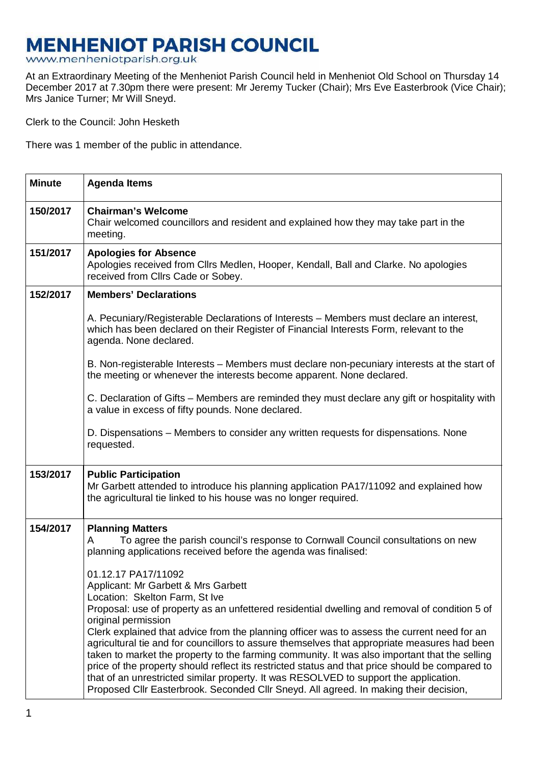## **MENHENIOT PARISH COUNCIL**

www.menheniotparish.org.uk

At an Extraordinary Meeting of the Menheniot Parish Council held in Menheniot Old School on Thursday 14 December 2017 at 7.30pm there were present: Mr Jeremy Tucker (Chair); Mrs Eve Easterbrook (Vice Chair); Mrs Janice Turner; Mr Will Sneyd.

Clerk to the Council: John Hesketh

There was 1 member of the public in attendance.

| <b>Minute</b> | <b>Agenda Items</b>                                                                                                                                                                                                                                                                                                                                                                                                                                                                                                                                                                                                                                                                                       |  |  |  |  |
|---------------|-----------------------------------------------------------------------------------------------------------------------------------------------------------------------------------------------------------------------------------------------------------------------------------------------------------------------------------------------------------------------------------------------------------------------------------------------------------------------------------------------------------------------------------------------------------------------------------------------------------------------------------------------------------------------------------------------------------|--|--|--|--|
| 150/2017      | <b>Chairman's Welcome</b><br>Chair welcomed councillors and resident and explained how they may take part in the<br>meeting.                                                                                                                                                                                                                                                                                                                                                                                                                                                                                                                                                                              |  |  |  |  |
| 151/2017      | <b>Apologies for Absence</b><br>Apologies received from Cllrs Medlen, Hooper, Kendall, Ball and Clarke. No apologies<br>received from Cllrs Cade or Sobey.                                                                                                                                                                                                                                                                                                                                                                                                                                                                                                                                                |  |  |  |  |
| 152/2017      | <b>Members' Declarations</b>                                                                                                                                                                                                                                                                                                                                                                                                                                                                                                                                                                                                                                                                              |  |  |  |  |
|               | A. Pecuniary/Registerable Declarations of Interests – Members must declare an interest,<br>which has been declared on their Register of Financial Interests Form, relevant to the<br>agenda. None declared.                                                                                                                                                                                                                                                                                                                                                                                                                                                                                               |  |  |  |  |
|               | B. Non-registerable Interests – Members must declare non-pecuniary interests at the start of<br>the meeting or whenever the interests become apparent. None declared.                                                                                                                                                                                                                                                                                                                                                                                                                                                                                                                                     |  |  |  |  |
|               | C. Declaration of Gifts – Members are reminded they must declare any gift or hospitality with<br>a value in excess of fifty pounds. None declared.                                                                                                                                                                                                                                                                                                                                                                                                                                                                                                                                                        |  |  |  |  |
|               | D. Dispensations – Members to consider any written requests for dispensations. None<br>requested.                                                                                                                                                                                                                                                                                                                                                                                                                                                                                                                                                                                                         |  |  |  |  |
| 153/2017      | <b>Public Participation</b><br>Mr Garbett attended to introduce his planning application PA17/11092 and explained how<br>the agricultural tie linked to his house was no longer required.                                                                                                                                                                                                                                                                                                                                                                                                                                                                                                                 |  |  |  |  |
| 154/2017      | <b>Planning Matters</b><br>To agree the parish council's response to Cornwall Council consultations on new<br>A<br>planning applications received before the agenda was finalised:<br>01.12.17 PA17/11092<br>Applicant: Mr Garbett & Mrs Garbett<br>Location: Skelton Farm, St Ive                                                                                                                                                                                                                                                                                                                                                                                                                        |  |  |  |  |
|               | Proposal: use of property as an unfettered residential dwelling and removal of condition 5 of<br>original permission<br>Clerk explained that advice from the planning officer was to assess the current need for an<br>agricultural tie and for councillors to assure themselves that appropriate measures had been<br>taken to market the property to the farming community. It was also important that the selling<br>price of the property should reflect its restricted status and that price should be compared to<br>that of an unrestricted similar property. It was RESOLVED to support the application.<br>Proposed Cllr Easterbrook. Seconded Cllr Sneyd. All agreed. In making their decision, |  |  |  |  |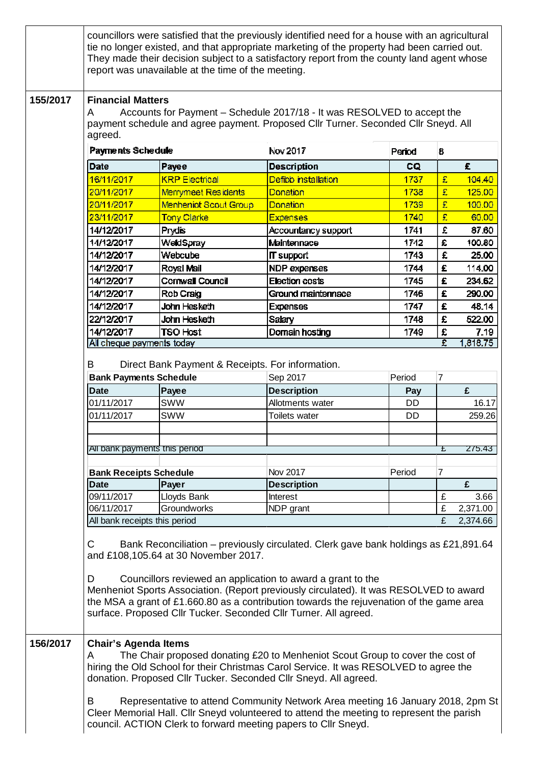|          |                                                                                                                                                                                                                                                                                                                                                                                                                                                                                                                                       | report was unavailable at the time of the meeting. | councillors were satisfied that the previously identified need for a house with an agricultural<br>tie no longer existed, and that appropriate marketing of the property had been carried out.<br>They made their decision subject to a satisfactory report from the county land agent whose |               |                |          |  |  |
|----------|---------------------------------------------------------------------------------------------------------------------------------------------------------------------------------------------------------------------------------------------------------------------------------------------------------------------------------------------------------------------------------------------------------------------------------------------------------------------------------------------------------------------------------------|----------------------------------------------------|----------------------------------------------------------------------------------------------------------------------------------------------------------------------------------------------------------------------------------------------------------------------------------------------|---------------|----------------|----------|--|--|
| 155/2017 | <b>Financial Matters</b><br>Accounts for Payment - Schedule 2017/18 - It was RESOLVED to accept the<br>A<br>payment schedule and agree payment. Proposed Cllr Turner. Seconded Cllr Sneyd. All<br>agreed.                                                                                                                                                                                                                                                                                                                             |                                                    |                                                                                                                                                                                                                                                                                              |               |                |          |  |  |
|          | Payments Schedule                                                                                                                                                                                                                                                                                                                                                                                                                                                                                                                     |                                                    | Nov 2017<br>Penod                                                                                                                                                                                                                                                                            |               | 8              |          |  |  |
|          | Date                                                                                                                                                                                                                                                                                                                                                                                                                                                                                                                                  | Payee                                              | <b>Description</b>                                                                                                                                                                                                                                                                           | CQ.           |                | £.       |  |  |
|          | 16/11/2017                                                                                                                                                                                                                                                                                                                                                                                                                                                                                                                            | <b>KRP Electrical</b>                              | Defibb installation                                                                                                                                                                                                                                                                          | 1737          | £.             | 104.40   |  |  |
|          | 20/11/2017                                                                                                                                                                                                                                                                                                                                                                                                                                                                                                                            | Merrymeet Residents                                | Donation                                                                                                                                                                                                                                                                                     | 1738          | 昱              | 125.00   |  |  |
|          | 20/11/2017                                                                                                                                                                                                                                                                                                                                                                                                                                                                                                                            | Menheniot Scout Group                              | Donation                                                                                                                                                                                                                                                                                     | 1739          | £.             | 100.00   |  |  |
|          | 23/11/2017                                                                                                                                                                                                                                                                                                                                                                                                                                                                                                                            | Tony Clarke                                        | <b>Expenses</b>                                                                                                                                                                                                                                                                              | 1740          | £.             | 60.00    |  |  |
|          | 14/12/2017                                                                                                                                                                                                                                                                                                                                                                                                                                                                                                                            | Prydis                                             | Accountancy support                                                                                                                                                                                                                                                                          | 1741          | £              | 87.60    |  |  |
|          | 14/12/2017                                                                                                                                                                                                                                                                                                                                                                                                                                                                                                                            | WeldSpray                                          | Maintennace                                                                                                                                                                                                                                                                                  | 1742          | £              | 100.80   |  |  |
|          | 14/12/2017                                                                                                                                                                                                                                                                                                                                                                                                                                                                                                                            | Webcube                                            | <b>IT</b> support                                                                                                                                                                                                                                                                            | 1743          | £              | 25.00    |  |  |
|          | 14/12/2017                                                                                                                                                                                                                                                                                                                                                                                                                                                                                                                            | Royal Mail                                         | NDP expenses                                                                                                                                                                                                                                                                                 | 1744          | £              | 114.00   |  |  |
|          | 14/12/2017                                                                                                                                                                                                                                                                                                                                                                                                                                                                                                                            | Cornwall Council                                   | <b>Election costs</b>                                                                                                                                                                                                                                                                        | 1745          | £              | 234.62   |  |  |
|          | 14/12/2017                                                                                                                                                                                                                                                                                                                                                                                                                                                                                                                            | Rob Craig                                          | Ground maintennace                                                                                                                                                                                                                                                                           | 1746          | £              | 290.00   |  |  |
|          | 14/12/2017                                                                                                                                                                                                                                                                                                                                                                                                                                                                                                                            | John Hesketh                                       | <b>Expenses</b>                                                                                                                                                                                                                                                                              | 1747          | £              | 48.14    |  |  |
|          | 22/12/2017                                                                                                                                                                                                                                                                                                                                                                                                                                                                                                                            | John Hesketh                                       | Salary                                                                                                                                                                                                                                                                                       | 1748          | £              | 522.00   |  |  |
|          | 14/12/2017                                                                                                                                                                                                                                                                                                                                                                                                                                                                                                                            | <b>TSO Host</b>                                    | Domain hosting                                                                                                                                                                                                                                                                               | 1749          | £              | 7.19     |  |  |
|          | <b>Bank Payments Schedule</b><br><b>Date</b>                                                                                                                                                                                                                                                                                                                                                                                                                                                                                          | Payee                                              | Sep 2017<br><b>Description</b>                                                                                                                                                                                                                                                               | Period<br>Pay | $\overline{7}$ | £        |  |  |
|          | 01/11/2017                                                                                                                                                                                                                                                                                                                                                                                                                                                                                                                            | <b>SWW</b>                                         | Allotments water                                                                                                                                                                                                                                                                             | DD.           |                | 16.17    |  |  |
|          | 01/11/2017                                                                                                                                                                                                                                                                                                                                                                                                                                                                                                                            | <b>SWW</b>                                         | Toilets water                                                                                                                                                                                                                                                                                | DD            |                | 259.26   |  |  |
|          |                                                                                                                                                                                                                                                                                                                                                                                                                                                                                                                                       |                                                    |                                                                                                                                                                                                                                                                                              |               |                |          |  |  |
|          | All bank payments this period<br>275.43<br>£                                                                                                                                                                                                                                                                                                                                                                                                                                                                                          |                                                    |                                                                                                                                                                                                                                                                                              |               |                |          |  |  |
|          | <b>Bank Receipts Schedule</b>                                                                                                                                                                                                                                                                                                                                                                                                                                                                                                         |                                                    | Nov 2017                                                                                                                                                                                                                                                                                     | Period        | $\overline{7}$ |          |  |  |
|          | <b>Date</b>                                                                                                                                                                                                                                                                                                                                                                                                                                                                                                                           | Payer                                              | <b>Description</b>                                                                                                                                                                                                                                                                           |               |                | £        |  |  |
|          | 09/11/2017                                                                                                                                                                                                                                                                                                                                                                                                                                                                                                                            | Lloyds Bank                                        | <b>Interest</b>                                                                                                                                                                                                                                                                              |               | £              | 3.66     |  |  |
|          | 06/11/2017                                                                                                                                                                                                                                                                                                                                                                                                                                                                                                                            | Groundworks                                        | NDP grant                                                                                                                                                                                                                                                                                    |               | £              | 2,371.00 |  |  |
|          | All bank receipts this period                                                                                                                                                                                                                                                                                                                                                                                                                                                                                                         |                                                    |                                                                                                                                                                                                                                                                                              |               | £              | 2,374.66 |  |  |
|          | Bank Reconciliation – previously circulated. Clerk gave bank holdings as £21,891.64<br>С<br>and £108,105.64 at 30 November 2017.<br>Councillors reviewed an application to award a grant to the<br>D<br>Menheniot Sports Association. (Report previously circulated). It was RESOLVED to award<br>the MSA a grant of £1.660.80 as a contribution towards the rejuvenation of the game area<br>surface. Proposed Cllr Tucker. Seconded Cllr Turner. All agreed.                                                                        |                                                    |                                                                                                                                                                                                                                                                                              |               |                |          |  |  |
| 156/2017 | <b>Chair's Agenda Items</b><br>The Chair proposed donating £20 to Menheniot Scout Group to cover the cost of<br>A<br>hiring the Old School for their Christmas Carol Service. It was RESOLVED to agree the<br>donation. Proposed Cllr Tucker. Seconded Cllr Sneyd. All agreed.<br>B<br>Representative to attend Community Network Area meeting 16 January 2018, 2pm St<br>Cleer Memorial Hall. Cllr Sneyd volunteered to attend the meeting to represent the parish<br>council. ACTION Clerk to forward meeting papers to Cllr Sneyd. |                                                    |                                                                                                                                                                                                                                                                                              |               |                |          |  |  |